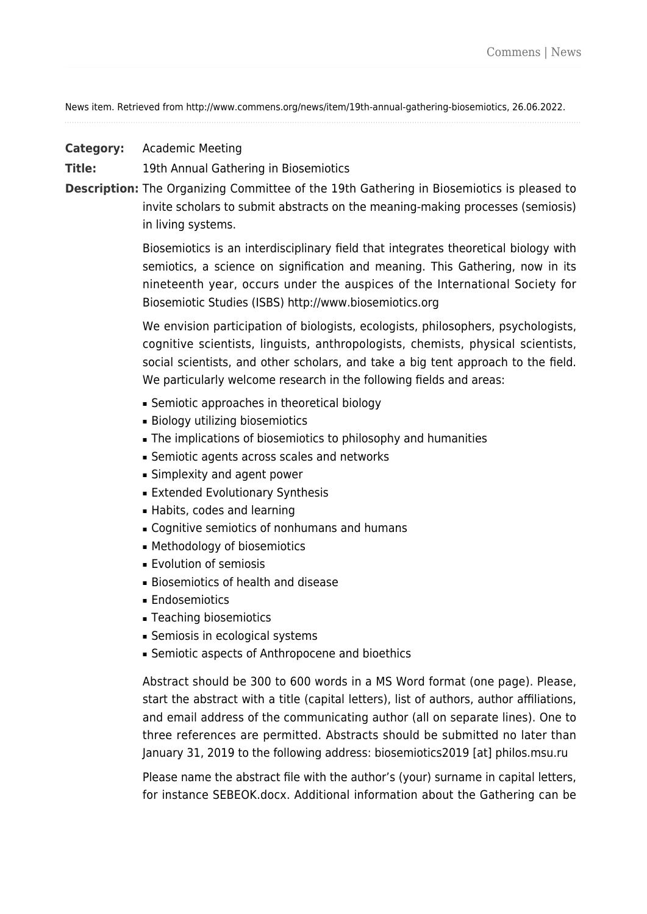News item. Retrieved from http://www.commens.org/news/item/19th-annual-gathering-biosemiotics, 26.06.2022.

**Category:** Academic Meeting

**Title:** 19th Annual Gathering in Biosemiotics

**Description:** The Organizing Committee of the 19th Gathering in Biosemiotics is pleased to invite scholars to submit abstracts on the meaning-making processes (semiosis) in living systems.

> Biosemiotics is an interdisciplinary field that integrates theoretical biology with semiotics, a science on signification and meaning. This Gathering, now in its nineteenth year, occurs under the auspices of the International Society for Biosemiotic Studies (ISBS) <http://www.biosemiotics.org>

> We envision participation of biologists, ecologists, philosophers, psychologists, cognitive scientists, linguists, anthropologists, chemists, physical scientists, social scientists, and other scholars, and take a big tent approach to the field. We particularly welcome research in the following fields and areas:

- Semiotic approaches in theoretical biology
- Biology utilizing biosemiotics
- **-** The implications of biosemiotics to philosophy and humanities
- Semiotic agents across scales and networks
- Simplexity and agent power
- Extended Evolutionary Synthesis
- Habits, codes and learning
- Cognitive semiotics of nonhumans and humans
- Methodology of biosemiotics
- Evolution of semiosis
- Biosemiotics of health and disease
- Endosemiotics
- Teaching biosemiotics
- Semiosis in ecological systems
- **Semiotic aspects of Anthropocene and bioethics**

Abstract should be 300 to 600 words in a MS Word format (one page). Please, start the abstract with a title (capital letters), list of authors, author affiliations, and email address of the communicating author (all on separate lines). One to three references are permitted. Abstracts should be submitted no later than January 31, 2019 to the following address: biosemiotics2019 [at] philos.msu.ru

Please name the abstract file with the author's (your) surname in capital letters, for instance SEBEOK.docx. Additional information about the Gathering can be